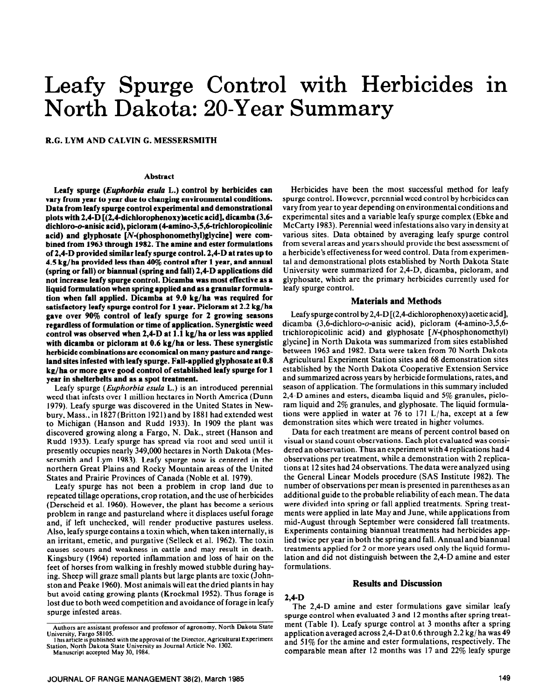# Leafy Spurge Control with Herbicides in North Dakota: 20-Year Summary

## **R.G. LYM AND CALVIN G. MESSERSMITH**

#### **Abstract**

**Leafy spurge** *(Euphorbiu esula* **L.) control by herbicides can vary from year to year due to changing environmental conditions. Data from leafy spurge control experimental and demonstrational plots with 2,4-D [(2,4\_dichlorophenoxy)acetic acid], dicamba (3,6 dichloro-o-anisic acid), picloram (4amino-3,5,6\_trichloropicolinic acid) and glyphosate [N-(phosphonomethyl)glycine] were combined from 1963 through 1982. The amine and ester formulations of 2,4-D provided similar leafy spurge control. 2,4-D at rates up to 4.5 kg/ha provided less than 40% control after 1 year, and annual (spring or fall) or biannual (spring and fall) 24-D applications did not increase leafy spurge control. Dicamba was most effective as a liquid formulation when spring applied and as a granular formulation when fall applied. Dicamba at 9.0 kg/ha was required for satisfactory leafy spurge control for 1 year. Picloram at 2.2 kg/ha gave over 90% control of leafy spurge for 2 growing seasons regardless of formulation or time of application. Synergistic weed control was observed when 24-D at 1.1 kg/ha or less was applied with dicamba or picloram at 0.6 kg/ha or less. These synergistic herbicide combinations are economical on many pasture and rangeland sites infested with leafy spurge. Fail-applied glyphosate at 0.8 kg/ha or more gave good control of established leafy spurge for 1 year in shelterbelts and as a spot treatment.** 

Leafy spurge *(Euphorbiu esula* L.) is an introduced perennial weed that infests over 1 million hectares in North America (Dunn 1979). Leafy spurge was discovered in the United States in Newbury, Mass., in 1827(Britton 1921) and by 1881 had extended west to Michigan (Hanson and Rudd 1933). In 1909 the plant was discovered growing along a Fargo, N. Dak., street (Hanson and Rudd 1933). Leafy spurge has spread via root and seed until it presently occupies nearly 349,000 hectares in North Dakota (Messersmith and Lym 1983). Leafy spurge now is centered in the northern Great Plains and Rocky Mountain areas of the United States and Prairie Provinces of Canada (Noble et al. 1979).

Leafy spurge has not been a problem in crop land due to repeated tillage operations, crop rotation, and the use of herbicides (Derscheid et al. 1960). However, the plant has become a serious problem in range and pastureland where it displaces useful forage and, if left unchecked, will render productive pastures useless. Also, leafy spurge contains a toxin which, when taken internally, is an irritant, emetic, and purgative (Selleck et al. 1962). The toxin causes scours and weakness in cattle and may result in death. Kingsbury (1964) reported inflammation and loss of hair on the feet of horses from walking in freshly mowed stubble during haying. Sheep will graze small plants but large plants are toxic (Johnston and Peake 1960). Most animals will eat the dried plants in hay but avoid eating growing plants (Krockmal 1952). Thus forage is lost due to both weed competition and avoidance of forage in leafy spurge infested areas.

Herbicides have been the most successful method for leafy spurge control. However, perennial weed control by herbicides can vary from year to year depending on environmental conditions and experimental sites and a variable leafy spurge complex (Ebke and McCarty 1983). Perennial weed infestations also vary in density at various sites. Data obtained by averaging leafy spurge control from several areas and years should provide the best assessment of a herbicide's effectiveness for weed control. Data from experimental and demonstrational plots established by North Dakota State University were summarized for 2,4-D, dicamba, picloram, and glyphosate, which are the primary herbicides currently used for leafy spurge control.

# **Materials and Methods**

Leafy spurge control by 2,4-D  $[(2,4$ -dichlorophenoxy) acetic acid], dicamba (3,6-dichloro-o-anisic acid), picloram (4-amino-3,5,6 trichloropicolinic acid) and glyphosate [N-(phosphonomethyl) glycine] in North Dakota was summarized from sites established between 1963 and 1982. Data were taken from 70 North Dakota Agricultural Experiment Station sites and 68 demonstration sites established by the North Dakota Cooperative Extension Service and summarized across years by herbicide formulations, rates, and season of application. The formulations in this summary included 2,4-D amines and esters, dicamba liquid and 5% granules, picloram liquid and 2% granules, and glyphosate. The liquid formulations were applied in water at 76 to 171 L/ha, except at a few demonstration sites which were treated in higher volumes.

Data for each treatment are means of percent control based on visual or stand count observations. Each plot evaluated was considered an observation. Thus an experiment with 4 replications had 4 observations per treatment, while a demonstration with 2 replications at 12 sites had 24 observations. The data were analyzed using the General Linear Models procedure (SAS Institute 1982). The number of observations per mean is presented in parentheses as an additional guide to the probable reliability of each mean. The data were divided into spring or fall applied treatments. Spring treatments were applied in late May and June, while applications from mid-August through September were considered fall treatments. Experiments containing biannual treatments had herbicides applied twice per year in both the spring and fall. Annual and biannual treatments applied for 2 or more years used only the liquid formulation and did not distinguish between the 2,4-D amine and ester formulations.

# **Results and Discussion**

# **2,4-D**

The 2,4-D amine and ester formulations gave similar leafy spurge control when evaluated 3 and 12 months after spring treatment (Table I). Leafy spurge control at 3 months after a spring application averaged across 2,4-D at 0.6 through 2.2 kg/ ha was 49 and 51% for the amine and ester formulations, respectively. The comparable mean after 12 months was 17 and 22% leafy spurge

**Authors are assistant professor and professor of agronomy, North Dakota State University, Fargo 58105.** 

**This artlcle is published with the approval of the Director, Agricultural Experiment Station, North Dakota State University as Journal Article No. 1302.** 

**Manuscript accepted May 30, 1984.**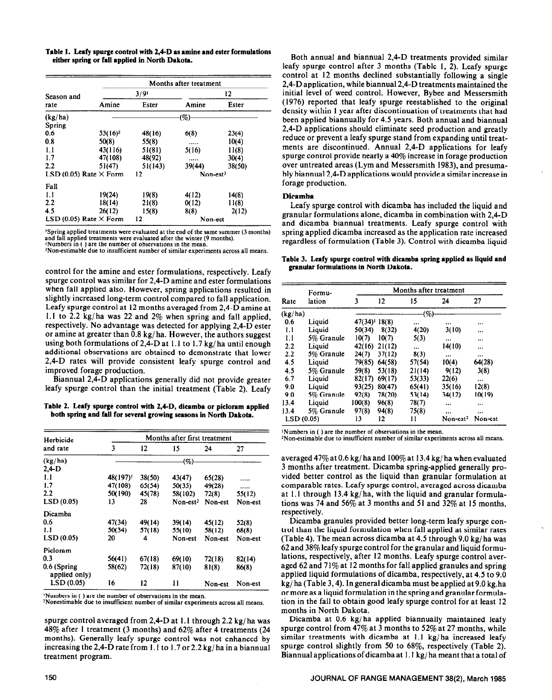**Table 1. Leafy spurge control with 2,4-D as amine and ester formulations either spring or fall applied in North Dakota.** 

|                               |            | Months after treatment |            |        |  |  |  |  |
|-------------------------------|------------|------------------------|------------|--------|--|--|--|--|
| Season and                    |            | 3/9'                   | 12         |        |  |  |  |  |
| rate                          | Amine      | Ester                  | Amine      | Ester  |  |  |  |  |
| (kg/ha)                       |            |                        | (%)        |        |  |  |  |  |
| Spring                        |            |                        |            |        |  |  |  |  |
| 0.6                           | $53(16)^2$ | 48(16)                 | 6(8)       | 23(4)  |  |  |  |  |
| 0.8                           | 50(8)      | 55(8)                  |            | 10(4)  |  |  |  |  |
| 1.1                           | 43(116)    | 51(81)                 | 5(16)      | 11(8)  |  |  |  |  |
| 1.7                           | 47(108)    | 48(92)                 |            | 30(4)  |  |  |  |  |
| 2.2                           | 51(47)     | 51(143)                | 39(44)     | 38(50) |  |  |  |  |
| LSD (0.05) Rate $\times$ Form |            | 12                     | $Non-est3$ |        |  |  |  |  |
| Fall                          |            |                        |            |        |  |  |  |  |
| 1.1                           | 19(24)     | 19(8)                  | 4(12)      | 14(8)  |  |  |  |  |
| 2.2                           | 18(14)     | 21(8)                  | 0(12)      | 11(8)  |  |  |  |  |
| 4.5                           | 26(12)     | 15(8)                  | 8(8)       | 2(12)  |  |  |  |  |
| LSD (0.05) Rate $\times$ Form |            | 12                     | Non-est    |        |  |  |  |  |

**'Spring applied treatments were evaluated at the end of the same summer (3 months) and fall applied treatments were evaluated after the winter (9 months). ?Numbers in ( ) are the number of observations in the mean.** 

**'Non-estimable due to insufficient number of similar experiments across all means.** 

control for the amine and ester formulations, respectively. Leafy spurge control was similar for 2,4-D amine and ester formulations when fall applied also. However, spring applications resulted in slightly increased long-term control compared to fall application. Leafy spurge control at 12 months averaged from 2,4-D amine at 1.1 to 2.2 kg/ha was 22 and  $2\%$  when spring and fall applied, respectively. No advantage was detected for applying 2,4-D ester or amine at greater than 0.8 kg/ ha. However, the authors suggest using both formulations of 2,4-D at 1.1 to 1.7 kg/ ha until enough additional observations are obtained to demonstrate that lower 2,4-D rates will provide consistent leafy spurge control and improved forage production.

Biannual 2,4-D applications generally did not provide greater leafy spurge control than the initial treatment (Table 2). Leafy

**Table 2. Leafy spurge control with 2,4-D, dicambe or picloram applied both spring and fall for several growing seasons in North Dakota.** 

| Herbicide                     |         |        | Months after first treatment |         |         |
|-------------------------------|---------|--------|------------------------------|---------|---------|
| and rate                      | 3       | 12     | 15                           | 24      | 27      |
| (kg/ha)                       |         |        | $\left( \% \right)$          |         |         |
| $2.4-D$                       |         |        |                              |         |         |
| 1.1                           | 48(197) | 38(50) | 43(47)                       | 65(28)  |         |
| 1.7                           | 47(108) | 65(54) | 50(35)                       | 49(28)  |         |
| 2.2                           | 50(190) | 45(78) | 58(102)                      | 72(8)   | 55(12)  |
| LSD(0.05)                     | 13      | 28     | $Non-est2$                   | Non-est | Non-est |
| Dicamba                       |         |        |                              |         |         |
| 0.6                           | 47(34)  | 49(14) | 39(14)                       | 45(12)  | 52(8)   |
| 1.1                           | 50(34)  | 57(18) | 55(10)                       | 58(12)  | 68(8)   |
| LSD (0.05)                    | 20      | 4      | Non-est                      | Non-est | Non-est |
| Picloram                      |         |        |                              |         |         |
| 0.3                           | 56(41)  | 67(18) | 69(10)                       | 72(18)  | 82(14)  |
| 0.6 (Spring)<br>applied only) | 58(62)  | 72(18) | 87(10)                       | 81(8)   | 86(8)   |
| LSD(0.05)                     | 16      | 12     | 11                           | Non-est | Non-est |

**'Numbers in ( ) are the number of observations in the mean.** 

**2Nonestimable due to insufficient number of similar experiments across all means.** 

48% after 1 treatment (3 months) and 62% after 4 treatments (24 spurge control from 47% at 3 months to 52% at 27 months, while<br>months). Generally leafy spurge control was not enhanced by similar treatments with dicamba at months). Generally leafy spurge control was not enhanced by similar treatments with dicamba at 1.1 kg/ha increased leafy increased leafy increasing the 2.4-D rate from 1.1 to 1.7 or 2.2 kg/ha in a biannual spurge control increasing the 2,4-D rate from 1.1 to 1.7 or 2.2 kg/ ha in a biannual treatment program. Biannual applications of dicamba at 1.1 kg/ ha meant that a total of

Both annual and biannual 2,4-D treatments provided similar leafy spurge control after 3 months (Table 1, 2). Leafy spurge control at 12 months declined substantially following a single 2,4-D application, while biannual 2,4-D treatments maintained the initial level of weed control. However, Bybee and Messersmith (1976) reported that leafy spurge reestablished to the original density within 1 year after discontinuation of treatments that had been applied biannually for 4.5 years. Both annual and biannual 2,4-D applications should eliminate seed production and greatly reduce or prevent a leafy spurge stand from expanding until treatments are discontinued. Annual 2,4-D applications for leafy spurge control provide nearly a 40% increase in forage production over untreated areas (Lym and Messersmith 1983), and presumably biannual 2,4-D applications would provide a similar increase in forage production.

#### **Dicamba**

Leafy spurge control with dicamba has included the liquid and granular formulations alone, dicamba in combination with 2,4-D and dicamba biannual treatments. Leafy spurge control with spring applied dicamba increased as the application rate increased regardless of formulation (Table 3). Control with dicamba liquid

**Table 3. Leafy spurge control with dicamba spring applied as liquid and granular formulations in North Dakota.** 

|           | Formu-     | Months after treatment      |        |        |            |          |  |  |
|-----------|------------|-----------------------------|--------|--------|------------|----------|--|--|
| Rate      | lation     | 3                           | 12     | 15     | 24         | 27       |  |  |
| (kg/ha)   |            |                             |        | (%)    |            |          |  |  |
| 0.6       | Liquid     | $47(34)$ <sup>1</sup> 18(8) |        |        |            | $\cdots$ |  |  |
| 1.1       | Liquid     | 50(34)                      | 8(32)  | 4(20)  | 3(10)      |          |  |  |
| 1.1       | 5% Granule | 10(7)                       | 10(7)  | 5(3)   |            |          |  |  |
| 2.2       | Liquid     | 42(16)                      | 21(12) |        | 14(10)     |          |  |  |
| 2.2       | 5% Granule | 24(7)                       | 37(12) | 8(3)   | $\cdots$   | $\cdots$ |  |  |
| 4.5       | Liquid     | 79(85)                      | 64(58) | 57(54) | 10(4)      | 64(28)   |  |  |
| 4.5       | 5% Granule | 59(8)                       | 53(18) | 21(14) | 9(12)      | 3(8)     |  |  |
| 6.7       | Liquid     | 82(17)                      | 69(17) | 53(33) | 22(6)      | $\cdots$ |  |  |
| 9.0       | Liquid     | 93(25)                      | 80(47) | 65(41) | 35(16)     | 12(8)    |  |  |
| 9.0       | 5% Granule | 92(8)                       | 78(20) | 53(14) | 34(12)     | 10(19)   |  |  |
| 13.4      | Liquid     | 100(8)                      | 96(8)  | 78(7)  |            |          |  |  |
| 13.4      | 5% Granule | 97(8)                       | 94(8)  | 75(8)  |            |          |  |  |
| LSD(0.05) |            | 13                          | 12     | 11     | $Non-est2$ | Non-est  |  |  |

'Numbers **in ( ) are the number of observations in the mean.** 

<sup>2</sup>Non-estimable due to insufficient number of similar experiments across all means.

averaged 47% at 0.6 kg/ ha and 100% at 13.4 kg/ ha when evaluated 3 months after treatment. Dicamba spring-applied generally provided better control as the liquid than granular formulation at comparable rates. Leafy spurge control, averaged across dicamba at 1.1 through 13.4 kg/ ha, with the liquid and granular formulations was 74 and 56% at 3 months and 51 and 32% at 15 months, respectively.

Dicamba granules provided better long-term leafy spurge control than the liquid formulation when fall applied at similar rates (Table 4). The mean across dicamba at 4.5 through 9.0 kg/ ha was 62 and 38% leafy spurge control for the granular and liquid formulations, respectively, after 12 months. Leafy spurge control averaged 62 and 71% at 12 months for fall applied granules and spring applied liquid formulations of dicamba, respectively, at 4.5 to 9.0 kg/ ha (Table 3,4). In general dicamba must be applied at 9.0 kg.ha or more as a liquid formulation in the spring and granular formulation in the fall to obtain good leafy spurge control for at least 12 months in North Dakota.

spurge control averaged from 2,4-D at 1.1 through 2.2 kg/ha was Dicamba at 0.6 kg/ha applied biannually maintained leafy<br>48% after 1 treatment (3 months) and 62% after 4 treatments (24 spurge control from 47% at 3 months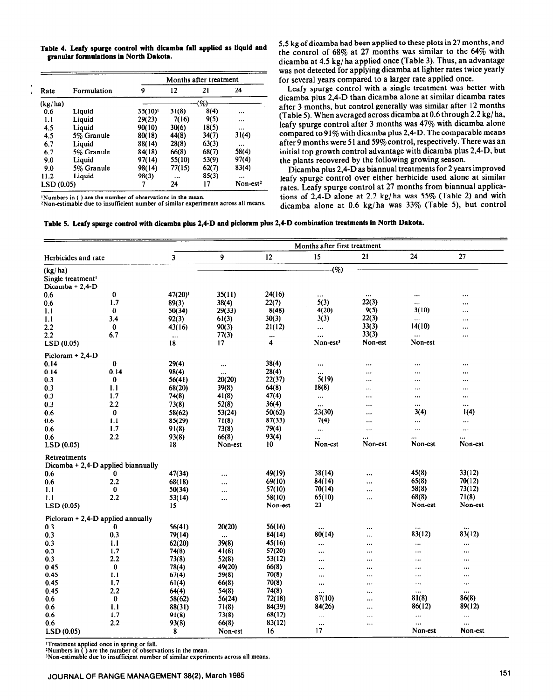|  |                                        | Table 4. Leafy spurge control with dicamba fall applied as liquid and |  |  |  |
|--|----------------------------------------|-----------------------------------------------------------------------|--|--|--|
|  | granular formulations in North Dakota. |                                                                       |  |  |  |

|            |             |            |          | Months after treatment |            |
|------------|-------------|------------|----------|------------------------|------------|
| Rate       | Formulation | 9          | 12       | 21                     | 24         |
| (kg/ha)    |             |            |          | (%)                    |            |
| 0.6        | Liquid      | $35(10)^1$ | 31(8)    | 8(4)                   |            |
| 1.1        | Liquid      | 29(23)     | 7(16)    | 9(5)                   |            |
| 4.5        | Liquid      | 90(10)     | 30(6)    | 18(5)                  | $\cdots$   |
| 4.5        | 5% Granule  | 80(18)     | 44(8)    | 34(7)                  | 31(4)      |
| 6.7        | Liquid      | 88(14)     | 28(8)    | 63(3)                  | $\cdots$   |
| 6.7        | 5% Granule  | 84(18)     | 66(8)    | 68(7)                  | 58(4)      |
| 9.0        | Liquid      | 97(14)     | 55(10)   | 53(9)                  | 97(4)      |
| 9.0        | 5% Granule  | 98(14)     | 77(15)   | 62(7)                  | 83(4)      |
| 11.2       | Liquid      | 98(3)      | $\cdots$ | 85(3)                  | $\cdots$   |
| LSD (0.05) |             | 7          | 24       | 17                     | $Non-est2$ |

**'Numbers in ( ) are the number of observations in the mean. ~Non-estimable due to insufficient number of similar experiments across all means.** 

5.5 kg of dicamba had been applied to these plots in 27 months, and the control of 68% at 27 months was similar to the 64% with dicamba at 4.5 kg/ ha applied once (Table 3). Thus, an advantage was not detected for applying dicamba at lighter rates twice yearly for several years compared to a larger rate applied once.

Leafy spurge control with a single treatment was better with dicamba plus 2,4-D than dicamba alone at similar dicamba rates after 3 months, but control generally was similar after 12 months (Table 5). When averaged across dicamba at 0.6 through 2.2 kg/ ha, leafy spurge control after 3 months was 47% with dicamba alone compared to  $91\%$  with dicamba plus 2,4-D. The comparable means after 9 months were 51 and 59% control, respectively. There was an initial top growth control advantage with dicamba plus 2,4-D, but the plants recovered by the following growing season.

Dicamba plus 2,4-D as biannual treatments for 2 years improved leafy spurge control over either herbicide used alone at similar rates. Leafy spurge control at 27 months from biannual applications of 2,4-D alone at 2.2 kg/ ha was 55% (Table 2) and with dicamba alone at 0.6 kg/ha was 33% (Table 5), but control

**Table 5. Leafy spurge control with dicamba plus 2,4-D and picloram plus 2,4-D combination treatments in North Dakota.** 

|                                          |          |          | Months after first treatment |          |                      |           |           |           |  |  |
|------------------------------------------|----------|----------|------------------------------|----------|----------------------|-----------|-----------|-----------|--|--|
| Herbicides and rate                      |          | 3        | 9                            | 12       | 15                   | 21        | 24        | 27        |  |  |
| (kg/ha)<br>Single treatment <sup>1</sup> |          |          |                              |          | (%)                  |           |           |           |  |  |
| Dicamba + 2,4-D                          |          |          |                              |          |                      |           |           |           |  |  |
| 0.6                                      | 0        | 47(20)   | 35(11)                       | 24(16)   | $\cdots$             | $\cdots$  |           |           |  |  |
| 0.6                                      | 1.7      | 89(3)    | 38(4)                        | 22(7)    | 5(3)                 | 22(3)     |           | $\cdots$  |  |  |
| 1.1                                      | $\bf{0}$ | 50(34)   | 29(33)                       | 8(48)    | 4(20)                | 9(5)      | 3(10)     | $\ddotsc$ |  |  |
| 1.1                                      | 3.4      | 92(3)    | 61(3)                        | 30(3)    | 3(3)                 | 22(3)     | $\ddotsc$ | $\ddotsc$ |  |  |
| 2.2                                      | $\bf{0}$ | 43(16)   | 90(3)                        | 21(12)   | $\ddotsc$            | 33(3)     | 14(10)    | $\ddotsc$ |  |  |
| $2.2\,$                                  | 6.7      | $\cdots$ | 77(3)                        | $\cdots$ |                      | 33(3)     | $\ddotsc$ | $\cdots$  |  |  |
| LSD(0.05)                                |          | 18       | 17                           | 4        | Non-est <sup>3</sup> | Non-est   | Non-est   |           |  |  |
| Picloram $+ 2,4$ -D                      |          |          |                              |          |                      |           |           |           |  |  |
| 0.14                                     | $\bf{0}$ | 29(4)    | $\cdots$                     | 38(4)    | $\cdots$             | $\cdots$  |           |           |  |  |
| 0.14                                     | 0.14     | 98(4)    | $\cdots$                     | 28(4)    | $\ddot{\phantom{a}}$ | $\cdots$  |           |           |  |  |
| 0.3                                      | $\bf{0}$ | 56(41)   | 20(20)                       | 22(37)   | 5(19)                |           |           |           |  |  |
| 0.3                                      | 1.1      | 68(20)   | 39(8)                        | 64(8)    | 18(8)                | $\ddotsc$ |           |           |  |  |
| 0.3                                      | 1.7      | 74(8)    | 41(8)                        | 47(4)    | $\ldots$             | $\ddotsc$ | $\cdots$  | $\ddotsc$ |  |  |
| 0.3                                      | 2.2      | 73(8)    | 52(8)                        | 36(4)    | $\ddotsc$            | $\cdots$  |           |           |  |  |
| 0.6                                      | $\bf{0}$ | 58(62)   | 53(24)                       | 50(62)   | 23(30)               | $\cdots$  | 3(4)      | 1(4)      |  |  |
| 0.6                                      | 1.1      | 85(29)   | 71(8)                        | 87(33)   | 7(4)                 |           |           | $\cdots$  |  |  |
| 0.6                                      | 1.7      | 91(8)    | 73(8)                        | 79(4)    | $\cdots$             | $\ddotsc$ |           | $\ddotsc$ |  |  |
| 0.6                                      | 2.2      | 93(8)    | 66(8)                        | 93(4)    |                      | $\cdots$  | $\ddotsc$ |           |  |  |
| LSD(0.05)                                |          | 18       | Non-est                      | 10       | Non-est              | Non-est   | Non-est   | Non-est   |  |  |
| Retreatments                             |          |          |                              |          |                      |           |           |           |  |  |
| Dicamba $+ 2,4$ -D applied biannually    |          |          |                              |          |                      |           |           |           |  |  |
| 0.6                                      | $\bf{0}$ | 47(34)   | $\cdots$                     | 49(19)   | 38(14)               |           | 45(8)     | 33(12)    |  |  |
| 0.6                                      | 2.2      | 68(18)   | $\ddotsc$                    | 69(10)   | 84(14)               |           | 65(8)     | 70(12)    |  |  |
| 1.1                                      | 0        | 50(34)   | $\cdots$                     | 57(10)   | 70(14)               | $\cdots$  | 58(8)     | 73(12)    |  |  |
| 1.1                                      | 2.2      | 53(14)   | $\cdots$                     | 58(10)   | 65(10)               |           | 68(8)     | 71(8)     |  |  |
| LSD(0.05)                                |          | 15       |                              | Non-est  | 23                   |           | Non-est   | Non-est   |  |  |
| Picloram + 2,4-D applied annually        |          |          |                              |          |                      |           |           |           |  |  |
| 0.3                                      | $\bf{0}$ | 56(41)   | 20(20)                       | 56(16)   | $\ddotsc$            |           | $\cdots$  | $\cdots$  |  |  |
| 0.3                                      | 0.3      | 79(14)   | $\cdots$                     | 84(14)   | 80(14)               | $\ddotsc$ | 83(12)    | 83(12)    |  |  |
| 0.3                                      | 1.1      | 62(20)   | 39(8)                        | 45(16)   | $\ddotsc$            |           | $\cdots$  | $\cdots$  |  |  |
| 0.3                                      | 1.7      | 74(8)    | 41(8)                        | 57(20)   | $\ddotsc$            |           |           |           |  |  |
| 0.3                                      | $2.2\,$  | 73(8)    | 52(8)                        | 53(12)   | $\ddotsc$            |           |           |           |  |  |
| 0.45                                     | $\bf{0}$ | 78(4)    | 49(20)                       | 66(8)    |                      | $\ddotsc$ |           |           |  |  |
| 0.45                                     | 1.1      | 67(4)    | 59(8)                        | 70(8)    |                      |           |           | $\ldots$  |  |  |
| 0.45                                     | 1.7      | 61(4)    | 66(8)                        | 70(8)    |                      |           |           | $\ddotsc$ |  |  |
| 0.45                                     | 2.2      | 64(4)    | 54(8)                        | 74(8)    | $\cdots$             |           | $\cdots$  | $\ddotsc$ |  |  |
| 0.6                                      | $\bf{0}$ | 58(62)   | 56(24)                       | 72(18)   | 87(10)               |           | 81(8)     | 86(8)     |  |  |
| 0.6                                      | 1.1      | 88(31)   | 71(8)                        | 84(39)   | 84(26)               |           | 86(12)    | 89(12)    |  |  |
| 0.6                                      | 1.7      | 91(8)    | 73(8)                        | 68(12)   | $\ddotsc$            |           |           | $\ddotsc$ |  |  |
| 0.6                                      | $2.2\,$  | 93(8)    | 66(8)                        | 83(12)   | $\ddotsc$            |           |           |           |  |  |
| LSD(0.05)                                |          | 8        | Non-est                      | 16       | 17                   |           | Non-est   | Non-est   |  |  |

**Treatment applied once in spring or fall.** 

**\*Numbers in ( ) are the number of observations in the mean.** 

**INon-estimable due to insufficient number of similar experiments across all means.**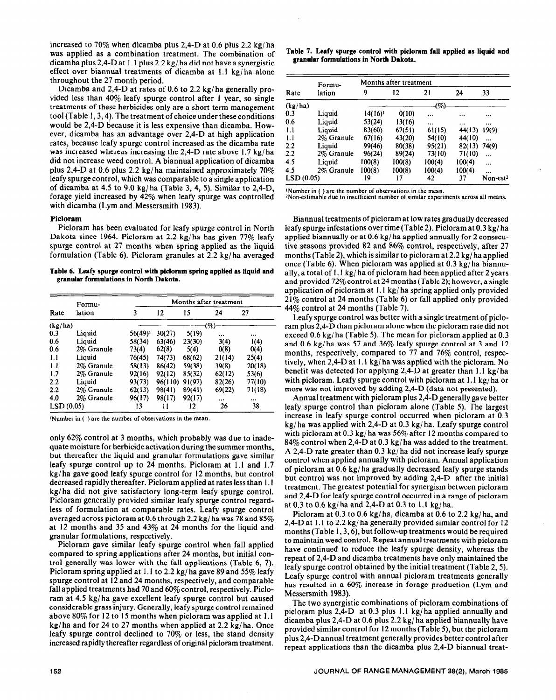increased to 70% when dicamba plus 2,4-D at 0.6 plus 2.2 kg/ ha was applied as a combination treatment. The combination of dicamba plus 2,4-D at 1.1 plus 2.2 kg/ ha did not have a synergistic effect over biannual treatments of dicamba at 1.1 kg/ ha alone throughout the 27 month period.

Dicamba and 2,4-D at rates of 0.6 to 2.2 kg/ ha generally provided less than 40% leafy spurge control after 1 year, so single treatments of these herbicides only are a short-term management tool (Table I, 3,4). The treatment of choice under these conditions would be 2,4-D because it is less expensive than dicamba. However, dicamba has an advantage over 2,4-D at high application rates, because leafy spurge control increased as the dicamba rate was increased whereas increasing the 2,4-D rate above 1.7 kg/ ha did not increase weed control. A biannual application of dicamba plus 2,4-D at 0.6 plus 2.2 kg/ha maintained approximately 70% leafy spurge control, which was comparable to a single application of dicamba at 4.5 to 9.0 kg/ ha (Table 3, 4, 5). Similar to 2,4-D, forage yield increased by 42% when leafy spurge was controlled with dicamba (Lym and Messersmith 1983).

# **Picloram**

Picloram has been evaluated for leafy spurge control in North Dakota since 1964. Picloram at 2.2 kg/ha has given 77% leafy spurge control at 27 months when spring applied as the liquid formulation (Table 6). Picloram granules at 2.2 kg/ha averaged

**Table 6. Leafy spurge control with picloram spring applied as liquid and granular formulations in North Dakota.** 

|           | Formu-     | Months after treatment |         |        |           |          |  |
|-----------|------------|------------------------|---------|--------|-----------|----------|--|
| Rate      | lation     | 3                      | 12      | 15     | 24        | 27       |  |
| (kg/ha)   |            |                        |         |        | (%)       |          |  |
| 0.3       | Liquid     | 56(49)!                | 30(27)  | 5(19)  | $\ddotsc$ |          |  |
| 0.6       | Liquid     | 58(34)                 | 63(46)  | 23(30) | 3(4)      | 1(4)     |  |
| 0.6       | 2% Granule | 73(4)                  | 62(8)   | 5(4)   | 0(8)      | 0(4)     |  |
| 1.1       | Liquid     | 76(45)                 | 74(73)  | 68(62) | 21(14)    | 25(4)    |  |
| 1.1       | 2% Granule | 58(13)                 | 86(42)  | 59(38) | 39(8)     | 20(18)   |  |
| 1.7       | 2% Granule | 92(16)                 | 92(12)  | 85(32) | 62(12)    | 53(6)    |  |
| 2.2       | Liquid     | 93(73)                 | 96(110) | 91(97) | 82(26)    | 77(10)   |  |
| 2.2       | 2% Granule | 62(13)                 | 98(41)  | 89(41) | 69(22)    | 71(18)   |  |
| 4.0       | 2% Granule | 96(17)                 | 98(17)  | 92(17) | $\cdots$  | $\cdots$ |  |
| LSD(0.05) |            | 13                     | Ħ       | 12     | 26        | 38       |  |

'Number in ( ) are the number of observations in the mean.

only 62% control at 3 months, which probably was due to inadequate moisture for herbicide activation during the summer months, but thereafter the liquid and granular formulations gave similar leafy spurge control up to 24 months. Picloram at 1.1 and 1.7 kg/ ha gave good leafy spurge control for 12 months, but control decreased rapidly thereafter. Picloram applied at rates less than 1.1 kg/ ha did not give satisfactory long-term leafy spurge control. Picloram generally provided similar leafy spurge control regardless of formulation at comparable rates. Leafy spurge control averaged across picloram at 0.6 through 2.2 kg/ ha was 78 and 85% at 12 months and 35 and 43% at 24 months for the liquid and granular formulations, respectively.

Picloram gave similar leafy spurge control when fall applied compared to spring applications after 24 months, but initial control generally was lower with the fall applications (Table 6, 7). Picloram spring applied at 1.1 to 2.2 kg/ ha gave 89 and 55% leafy spurge control at 12 and 24 months, respectively, and comparable fall applied treatments had 70 and 60% control, respectively. Picloram at 4.5 kg/ ha gave excellent leafy spurge control but caused considerable grass injury. Generally, leafy spurge control remained above 80% for 12 to 15 months when picloram was applied at 1.1 kg/ha and for 24 to 27 months when applied at  $2.2 \text{ kg/ha}$ . Once leafy spurge control declined to 70% or less, the stand density increased rapidly thereafter regardless of original picloram treatment.

**Table 7. Leafy spurge control with picloram fall applied as liquid and granular formulations in North Dakota.** 

|           | Formu-     |                     | Months after treatment |           |          |                      |
|-----------|------------|---------------------|------------------------|-----------|----------|----------------------|
| Rate      | lation     | 9                   | 12                     | 21        | 24       | 33                   |
| (kg/ha)   |            |                     |                        | -(%)      |          |                      |
| 0.3       | Liquid     | 14(16) <sup>1</sup> | 0(10)                  | $\ddotsc$ |          |                      |
| 0.6       | Liquid     | 53(24)              | 13(16)                 |           | $\cdots$ | $\cdots$             |
| 1.1       | Liouid     | 83(60)              | 67(51)                 | 61(15)    | 44(13)   | 19(9)                |
| 1.1       | 2% Granule | 67(16)              | 43(20)                 | 54(10)    | 44(10)   | $\cdots$             |
| 2.2       | Liquid     | 99(46)              | 80(38)                 | 95(21)    | 82(13)   | 74(9)                |
| 2.2       | 2% Granule | 96(24)              | 89(24)                 | 73(10)    | 71(10)   |                      |
| 4.5       | Liquid     | 100(8)              | 100(8)                 | 100(4)    | 100(4)   |                      |
| 4.5       | 2% Granule | 100(8)              | 100(8)                 | 100(4)    | 100(4)   |                      |
| LSD(0.05) |            | 19                  | 17                     | 42        | 37       | Non-est <sup>2</sup> |

'Number in ( ) are the number of observations in the mean.

<sup>2</sup>Non-estimable due to insufficient number of similar experiments across all means.

Biannual treatments of picloram at low rates gradually decreased leafy spurge infestations over time (Table 2). Picloram at 0.3 kg/ ha applied biannually or at 0.6 kg/ ha applied annually for 2 consecutive seasons provided 82 and 86% control, respectively, after 27 months (Table 2), which is similar to picloram at 2.2 kg/ ha applied once (Table 6). When picloram was applied at 0.3 kg/ ha biannually, a total of 1. I kg/ ha of picloram had been applied after 2 years and provided 72% control at 24 months (Table 2); however, a single application of picloram at 1.1 kg/ ha spring applied only provided 21% control at 24 months (Table 6) or fall applied only provided 44% control at 24 months (Table 7).

Leafy spurge control was better with a single treatment of picloram plus 2,4-D than picloram alone when the picloram rate did not exceed 0.6 kg/ ha (Table 5). The mean for picloram applied at 0.3 and 0.6 kg/ ha was 57 and 36% leafy spurge control at 3 and 12 months, respectively, compared to 77 and 76% control, respectively, when 2,4-D at 1.1 kg/ ha was applied with the picloram. No benefit was detected for applying 2,4-D at greater than 1.1 kg/ ha with picloram. Leafy spurge control with picloram at 1.1 kg/ha or more was not improved by adding 2,4-D (data not presented).

Annual treatment with picloram plus 2,4-D generally gave better leafy spurge control than picloram alone (Table 5). The largest increase in leafy spurge control occurred when picloram at 0.3 kg/ ha was applied with 2,4-D at 0.3 kg/ ha. Leafy spurge control with picloram at 0.3 kg/ha was  $56\%$  after 12 months compared to 84% control when 2,4-D at 0.3 kg/ ha was added to the treatment. A 2,4-D rate greater than 0.3 kg/ ha did not increase leafy spurge control when applied annually with picloram. Annual application of picloram at 0.6 kg/ ha gradually decreased leafy spurge stands but control was not improved by adding 2,4-D after the initial treatment. The greatest potential for synergism between picloram and 2,4-D for leafy spurge control occurred in a range of picloram at 0.3 to 0.6 kg/ ha and 2,4-D at 0.3 to 1.1 kg/ ha.

Picloram at 0.3 to 0.6 kg/ha, dicamba at 0.6 to 2.2 kg/ha, and 2,4-D at I. 1 to 2.2 kg/ ha generally provided similar control for 12 months (Table 1, 3, 6), but follow-up treatments would be required to maintain weed control. Repeat annual treatments with picloram have continued to reduce the leafy spurge density, whereas the repeat of 2,4-D and dicamba treatments have only maintained the leafy spurge control obtained by the initial treatment (Table 2,5). Leafy spurge control with annual picloram treatments generally has resulted in a 60% increase in forage production (Lym and Messersmith 1983).

The two synergistic combinations of picloram combinations of picloram plus 2,4-D at 0.3 plus 1.1 kg/ha applied annually and dicamba plus 2,4-D at 0.6 plus 2.2 kg/ ha applied biannually have provided similar control for 12 months (Table 5), but the picloram plus 2,4-D annual treatment generally provides better control after repeat applications than the dicamba plus 2,4-D biannual treat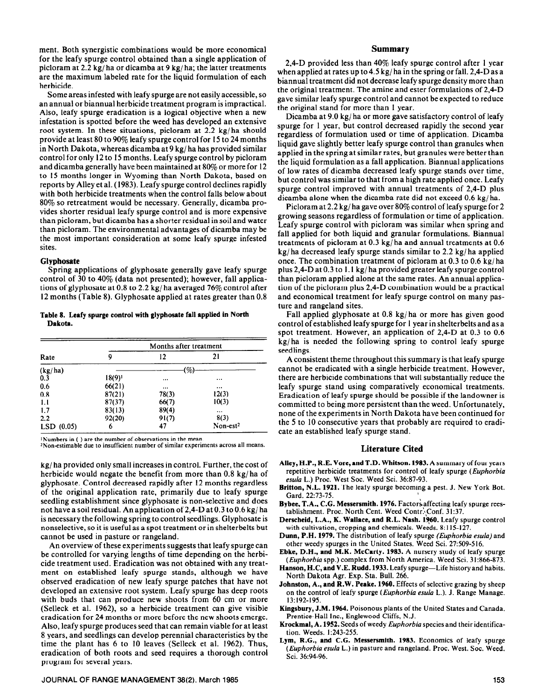ment. Both synergistic combinations would be more economical for the leafy spurge control obtained than a single application of picloram at 2.2 kg/ ha or dicamba at 9 kg/ ha; the latter treatments are the maximum labeled rate for the liquid formulation of each herbicide.

Some areas infested with leafy spurge are not easily accessible, so an annual or biannual herbicide treatment program is impractical. Also, leafy spurge eradication is a logical objective when a new infestation is spotted before the weed has developed an extensive root system. In these situations, picloram at  $2.2 \text{ kg/ha}$  should provide at least 80 to 90% leafy spurge control for I5 to 24 months in North Dakota, whereas dicamba at 9 kg/ ha has provided similar control for only 12 to I5 months. Leafy spurge control by picloram and dicamba generally have been maintained at 80% or more for 12 to 15 months longer in Wyoming than North Dakota, based on reports by Alley et al. (1983). Leafy spurge control declines rapidly with both herbicide treatments when the control falls below about 80% so retreatment would be necessary. Generally, dicamba provides shorter residual leafy spurge control and is more expensive than picloram, but dicamba has a shorter residual in soil and water than picloram. The environmental advantages of dicamba may be the most important consideration at some leafy spurge infested sites.

#### **Glyphosate**

Spring applications of glyphosate generally gave leafy spurge control of 30 to 40% (data not presented); however, fall applications of glyphosate at 0.8 to 2.2 kg/ ha averaged 76% control after 12 months (Table 8). Glyphosate applied at rates greater than 0.8

## **Table 8. Leafy spurge control with glypbosate fall applied in North Dakota.**

|              | Months after treatment |          |                      |  |  |  |
|--------------|------------------------|----------|----------------------|--|--|--|
| Rate         | 9                      | 12       | 21                   |  |  |  |
| (kg/ha)      |                        | (%)      |                      |  |  |  |
| 0.3          | $18(9)$ <sup>1</sup>   |          | $\cdots$             |  |  |  |
| 0.6          | 66(21)                 | $\cdots$ |                      |  |  |  |
| 0.8          | 87(21)                 | 78(3)    | 12(3)                |  |  |  |
| 1.1          | 87(37)                 | 66(7)    | 10(3)                |  |  |  |
| 1.7          | 83(13)                 | 89(4)    | $\cdots$             |  |  |  |
| 2.2          | 92(20)                 | 91(7)    | 8(3)                 |  |  |  |
| $LSD$ (0.05) | 6                      | 47       | Non-est <sup>2</sup> |  |  |  |

'Numbers in ( ) are the number of observations in the mean.

<sup>2</sup>Non-estimable due to insufficient number of similar experiments across all means.

**kg/** ha provided only small increases in control. Further, the cost of herbicide would negate the benefit from more than 0.8 kg/ha of glyphosate. Control decreased rapidly after 12 months regardless of the original application rate, primarily due to leafy spurge seedling establishment since glyphosate is non-selective and does not have a soil residual. An application of 2,4-D at 0.3 to 0.6 kg/ ha is necessary the following spring to control seedlings. Glyphosate is nonselective, so it is useful as a spot treatment or in shelterbelts but cannot be used in pasture or rangeland.

An overview of these experiments suggests that leafy spurge can be controlled for varying lengths of time depending on the herbicide treatment used. Eradication was not obtained with any treatment on established leafy spurge stands, although we have observed eradication of new leafy spurge patches that have not developed an extensive root system. Leafy spurge has deep roots with buds that can produce new shoots from 60 cm or more (Selleck et al. 1962), so a herbicide treatment can give visible eradication for 24 months or more before the new shoots emerge. Also, leafy spurge produces seed that can remain viable for at least 8 years, and seedlings can develop perennial characteristics by the time the plant has 6 to 10 leaves (Selleck et al. 1962). Thus, eradication of both roots and seed requires a thorough control program for several years.

#### **JOURNAL OF RANGE MANAGEMENT 38(2), March 1985** 153

### **Summary**

**2,4-D** provided less than 40% leafy spurge control after 1 year when applied at rates up to 4.5 kg/ ha in the spring or fall. 2,4-D as a biannual treatment did not decrease leafy spurge density more than the original treatment. The amine and ester formulations of 2,4-D gave similar leafy spurge control and cannot be expected to reduce the original stand for more than I year.

Dicamba at 9.0 kg/ ha or more gave satisfactory control of leafy spurge for 1 year, but control decreased rapidly the second year regardless of formulation used or time of application. Dicamba liquid gave slightly better leafy spurge control than granules when applied in the spring at similar rates, but granules were better than the liquid formulation as a fail application. Biannual applications of low rates of dicamba decreased leafy spurge stands over time, but control was similar to that from a high rate applied once. Leafy spurge control improved with annual treatments of 2,4-D plus dicamba alone when the dicamba rate did not exceed 0.6 kg/ ha.

Picloram at 2.2 kg/ ha gave over 80% control of leafy spurge for 2 growing seasons regardless of formulation or time of application. Leafy spurge control with picloram was similar when spring and fall applied for both liquid and granular formulations. Biannual treatments of picloram at 0.3 kg/ ha and annual treatments at 0.6 kg/ ha decreased leafy spurge stands similar to 2.2 kg/ ha applied once. The combination treatment of picloram at 0.3 to 0.6 kg/ ha plus 2,4-D at 0.3 to I. I kg/ ha provided greater leafy spurge control than picloram applied alone at the same rates. An annual application of the picloram plus 2,4-D combination would be a practical and economical treatment for leafy spurge control on many pasture and rangeland sites.

Fall applied glyphosate at 0.8 kg/ha or more has given good control of established leafy spurge for 1 year in shelterbelts and as a spot treatment. However, an application of 2,4-D at 0.3 to 0.6 kg/ ha is needed the following spring to control leafy spurge seedlings.

A consistent theme throughout this summary is that leafy spurge cannot be eradicated with a single herbicide treatment. However, there are herbicide combinations that will substantially reduce the leafy spurge stand using comparatively economical treatments. Eradication of leafy spurge should be possible if the landowner is committed to being more persistent than the weed. Unfortunately, none of the experiments in North Dakota have been continued for the 5 to 10 consecutive years that probably are required to eradicate an established leafy spurge stand.

## **Literature Cited**

- **Alley, H.P., R.E. Vore, and T.D. Whitson. 1983. A** summary of four years repetitive herbicide treatments for control of leafy spurge (Euphorbia esula L.) Proc. West Soc. Weed Sci. 36:87-93.
- **Britton, N.L. 1921.** The leafy spurge becoming a pest. J. New York Bot. Gard. 22:73-75.
- Bybee, T.A., C.G. Messersmith. 1976. Factors affecting leafy spurge reestablishment. Proc. North Cent. Weed Contr. Conf. 31:37.
- **Derscheid, L.A., K. Wallace, and R.L. Nash. i960.** Leafy spurge control with cultivation, cropping and chemicals. Weeds. 8: 115-127.
- **Dunn, P.H. 1979.** The distribution of leafy spurge *(Euphorbia e&a)* and other weedy spurges in the United States. Weed Sci. 27:509-516.
- **Ebke, D.H., and M.K. McCarty. 1983.** A nursery study of leafy spurge *(Euphorbiu* spp.) complex from North America. Weed Sci. 3 1:866-873.
- Hanson, H.C, and V.E. Rudd. 1933. Leafy spurge-Life history and habits. North Dakota Agr. Exp. Sta. Bull. 266.
- **Johnston, A., and R.W. Peake. 1960.** Effects of selective grazing by sheep on the control of leafy spurge *(Euphorbiu esula* L.). J. Range Manage. 13:192-195.
- **Kingsbury, J.M. 1964.** Poisonous plants of the United States and Canada. Prentice-Hall Inc., Englewood Cliffs, N.J.
- Krockmal, **A. 1952.** Seeds of weedy *Euphorbiu* species and their identification. Weeds. 1:243-255.
- **Lym, R.G., and C.G. Messersmith. 1983.** Economics of leafy spurge *(Euphorbia esula L.)* in pasture and rangeland. Proc. West. Soc. Weed. Sci. 36:94-96.